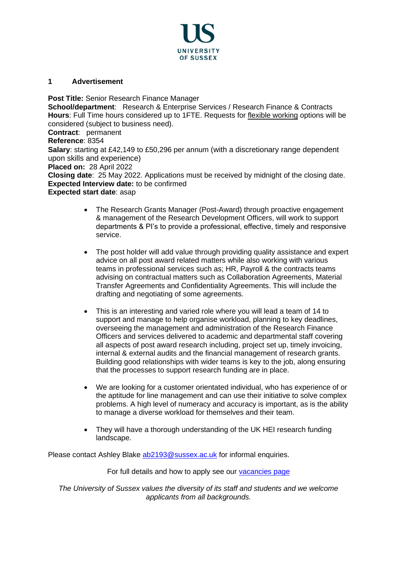

## **1 Advertisement**

**Post Title:** Senior Research Finance Manager **School/department**: Research & Enterprise Services / Research Finance & Contracts **Hours**: Full Time hours considered up to 1FTE. Requests for [flexible working](http://www.sussex.ac.uk/humanresources/personnel/flexible-working) options will be considered (subject to business need). **Contract**: permanent **Reference**: 8354 **Salary**: starting at £42,149 to £50,296 per annum (with a discretionary range dependent upon skills and experience) **Placed on:** 28 April 2022

**Closing date**: 25 May 2022. Applications must be received by midnight of the closing date. **Expected Interview date:** to be confirmed

### **Expected start date**: asap

- The Research Grants Manager (Post-Award) through proactive engagement & management of the Research Development Officers, will work to support departments & PI's to provide a professional, effective, timely and responsive service.
- The post holder will add value through providing quality assistance and expert advice on all post award related matters while also working with various teams in professional services such as; HR, Payroll & the contracts teams advising on contractual matters such as Collaboration Agreements, Material Transfer Agreements and Confidentiality Agreements. This will include the drafting and negotiating of some agreements.
- This is an interesting and varied role where you will lead a team of 14 to support and manage to help organise workload, planning to key deadlines, overseeing the management and administration of the Research Finance Officers and services delivered to academic and departmental staff covering all aspects of post award research including, project set up, timely invoicing, internal & external audits and the financial management of research grants. Building good relationships with wider teams is key to the job, along ensuring that the processes to support research funding are in place.
- We are looking for a customer orientated individual, who has experience of or the aptitude for line management and can use their initiative to solve complex problems. A high level of numeracy and accuracy is important, as is the ability to manage a diverse workload for themselves and their team.
- They will have a thorough understanding of the UK HEI research funding landscape.

Please contact Ashley Blake [ab2193@sussex.ac.uk](mailto:ab2193@sussex.ac.uk) for informal enquiries.

## For full details and how to apply see our [vacancies page](http://www.sussex.ac.uk/about/jobs)

*The University of Sussex values the diversity of its staff and students and we welcome applicants from all backgrounds.*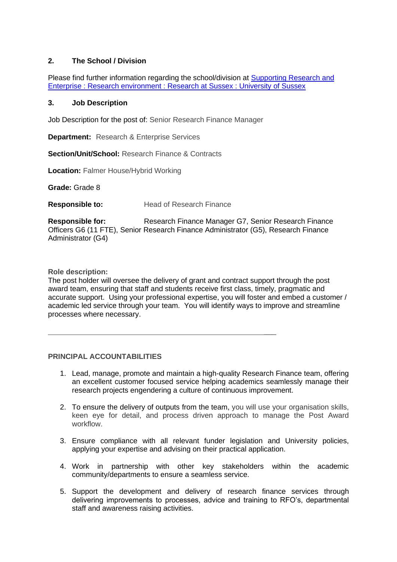# **2. The School / Division**

Please find further information regarding the school/division at [Supporting Research and](https://www.sussex.ac.uk/research/about/research-and-enterprise)  [Enterprise : Research environment : Research at Sussex : University of Sussex](https://www.sussex.ac.uk/research/about/research-and-enterprise)

### **3. Job Description**

Job Description for the post of: Senior Research Finance Manager

**Department:** Research & Enterprise Services

**Section/Unit/School:** Research Finance & Contracts

**Location:** Falmer House/Hybrid Working

**Grade:** Grade 8

**Responsible to:** Head of Research Finance

**Responsible for:** Research Finance Manager G7, Senior Research Finance Officers G6 (11 FTE), Senior Research Finance Administrator (G5), Research Finance Administrator (G4)

**Role description:**

The post holder will oversee the delivery of grant and contract support through the post award team, ensuring that staff and students receive first class, timely, pragmatic and accurate support. Using your professional expertise, you will foster and embed a customer / academic led service through your team. You will identify ways to improve and streamline processes where necessary.

## **PRINCIPAL ACCOUNTABILITIES**

1. Lead, manage, promote and maintain a high-quality Research Finance team, offering an excellent customer focused service helping academics seamlessly manage their research projects engendering a culture of continuous improvement.

 $\overline{\phantom{a}}$ 

- 2. To ensure the delivery of outputs from the team, you will use your organisation skills, keen eye for detail, and process driven approach to manage the Post Award workflow.
- 3. Ensure compliance with all relevant funder legislation and University policies, applying your expertise and advising on their practical application.
- 4. Work in partnership with other key stakeholders within the academic community/departments to ensure a seamless service.
- 5. Support the development and delivery of research finance services through delivering improvements to processes, advice and training to RFO's, departmental staff and awareness raising activities.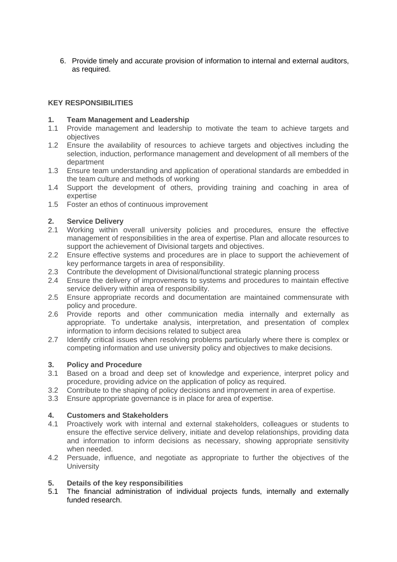6. Provide timely and accurate provision of information to internal and external auditors, as required.

## **KEY RESPONSIBILITIES**

## **1. Team Management and Leadership**

- 1.1 Provide management and leadership to motivate the team to achieve targets and objectives
- 1.2 Ensure the availability of resources to achieve targets and objectives including the selection, induction, performance management and development of all members of the department
- 1.3 Ensure team understanding and application of operational standards are embedded in the team culture and methods of working
- 1.4 Support the development of others, providing training and coaching in area of expertise
- 1.5 Foster an ethos of continuous improvement

## **2. Service Delivery**

- 2.1 Working within overall university policies and procedures, ensure the effective management of responsibilities in the area of expertise. Plan and allocate resources to support the achievement of Divisional targets and objectives.
- 2.2 Ensure effective systems and procedures are in place to support the achievement of key performance targets in area of responsibility.
- 2.3 Contribute the development of Divisional/functional strategic planning process
- 2.4 Ensure the delivery of improvements to systems and procedures to maintain effective service delivery within area of responsibility.
- 2.5 Ensure appropriate records and documentation are maintained commensurate with policy and procedure.
- 2.6 Provide reports and other communication media internally and externally as appropriate. To undertake analysis, interpretation, and presentation of complex information to inform decisions related to subject area
- 2.7 Identify critical issues when resolving problems particularly where there is complex or competing information and use university policy and objectives to make decisions.

#### **3. Policy and Procedure**

- 3.1 Based on a broad and deep set of knowledge and experience, interpret policy and procedure, providing advice on the application of policy as required.
- 3.2 Contribute to the shaping of policy decisions and improvement in area of expertise.
- 3.3 Ensure appropriate governance is in place for area of expertise.

#### **4. Customers and Stakeholders**

- 4.1 Proactively work with internal and external stakeholders, colleagues or students to ensure the effective service delivery, initiate and develop relationships, providing data and information to inform decisions as necessary, showing appropriate sensitivity when needed.
- 4.2 Persuade, influence, and negotiate as appropriate to further the objectives of the **University**

#### **5. Details of the key responsibilities**

5.1 The financial administration of individual projects funds, internally and externally funded research.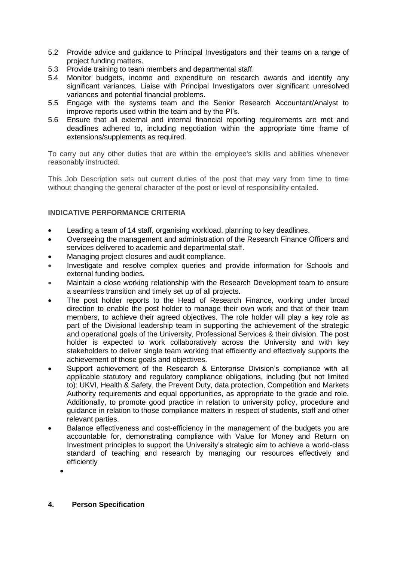- 5.2 Provide advice and guidance to Principal Investigators and their teams on a range of project funding matters.
- 5.3 Provide training to team members and departmental staff.
- 5.4 Monitor budgets, income and expenditure on research awards and identify any significant variances. Liaise with Principal Investigators over significant unresolved variances and potential financial problems.
- 5.5 Engage with the systems team and the Senior Research Accountant/Analyst to improve reports used within the team and by the PI's.
- 5.6 Ensure that all external and internal financial reporting requirements are met and deadlines adhered to, including negotiation within the appropriate time frame of extensions/supplements as required.

To carry out any other duties that are within the employee's skills and abilities whenever reasonably instructed.

This Job Description sets out current duties of the post that may vary from time to time without changing the general character of the post or level of responsibility entailed.

## **INDICATIVE PERFORMANCE CRITERIA**

- Leading a team of 14 staff, organising workload, planning to key deadlines.
- Overseeing the management and administration of the Research Finance Officers and services delivered to academic and departmental staff.
- Managing project closures and audit compliance.
- Investigate and resolve complex queries and provide information for Schools and external funding bodies.
- Maintain a close working relationship with the Research Development team to ensure a seamless transition and timely set up of all projects.
- The post holder reports to the Head of Research Finance, working under broad direction to enable the post holder to manage their own work and that of their team members, to achieve their agreed objectives. The role holder will play a key role as part of the Divisional leadership team in supporting the achievement of the strategic and operational goals of the University, Professional Services & their division. The post holder is expected to work collaboratively across the University and with key stakeholders to deliver single team working that efficiently and effectively supports the achievement of those goals and objectives.
- Support achievement of the Research & Enterprise Division's compliance with all applicable statutory and regulatory compliance obligations, including (but not limited to): UKVI, Health & Safety, the Prevent Duty, data protection, Competition and Markets Authority requirements and equal opportunities, as appropriate to the grade and role. Additionally, to promote good practice in relation to university policy, procedure and guidance in relation to those compliance matters in respect of students, staff and other relevant parties.
- Balance effectiveness and cost-efficiency in the management of the budgets you are accountable for, demonstrating compliance with Value for Money and Return on Investment principles to support the University's strategic aim to achieve a world-class standard of teaching and research by managing our resources effectively and efficiently
	- •

#### **4. Person Specification**